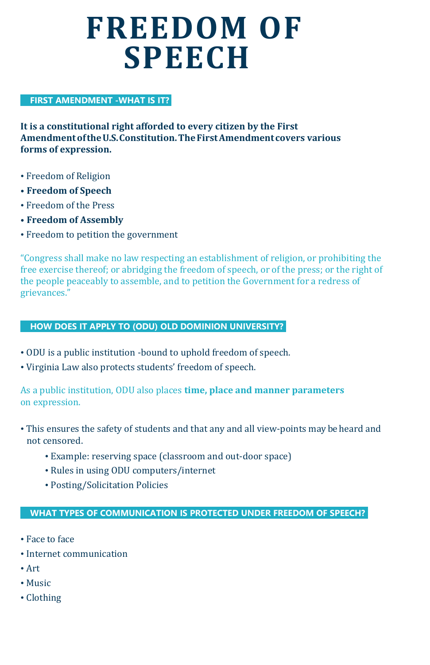# **FREEDOM OF SPEECH**

## **FIRST AMENDMENT -WHAT IS IT?**

**It is a constitutional right afforded to every citizen by the First AmendmentoftheU.S.Constitution.TheFirstAmendmentcovers various forms of expression.**

- Freedom of Religion
- **• Freedom of Speech**
- Freedom of the Press
- **• Freedom of Assembly**
- Freedom to petition the government

"Congress shall make no law respecting an establishment of religion, or prohibiting the free exercise thereof; or abridging the freedom of speech, or of the press; or the right of the people peaceably to assemble, and to petition the Government for a redress of grievances."

## **HOW DOES IT APPLY TO (ODU) OLD DOMINION UNIVERSITY?**

- ODU is a public institution -bound to uphold freedom of speech.
- Virginia Law also protects students' freedom of speech.

As a public institution, ODU also places **time, place and manner parameters** on expression.

- This ensures the safety of students and that any and all view-points may be heard and not censored.
	- Example: reserving space (classroom and out-door space)
	- Rules in using ODU computers/internet
	- Posting/Solicitation Policies

### **WHAT TYPES OF COMMUNICATION IS PROTECTED UNDER FREEDOM OF SPEECH?**

- Face to face
- Internet communication
- Art
- Music
- Clothing